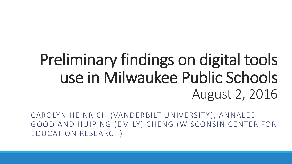## Preliminary findings on digital tools use in Milwaukee Public Schools August 2, 2016

CAROLYN HEINRICH (VANDERBILT UNIVERSITY), ANNALEE GOOD AND HUIPING (EMILY) CHENG (WISCONSIN CENTER FOR EDUCATION RESEARCH)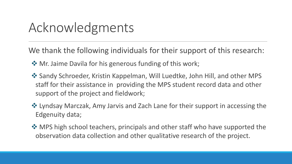#### Acknowledgments

We thank the following individuals for their support of this research:

- $\triangle$  Mr. Jaime Davila for his generous funding of this work;
- **\*** Sandy Schroeder, Kristin Kappelman, Will Luedtke, John Hill, and other MPS staff for their assistance in providing the MPS student record data and other support of the project and fieldwork;
- $\triangle$  Lyndsay Marczak, Amy Jarvis and Zach Lane for their support in accessing the Edgenuity data;
- $\triangle$  **MPS high school teachers, principals and other staff who have supported the** observation data collection and other qualitative research of the project.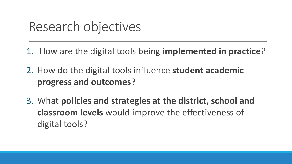#### Research objectives

1. How are the digital tools being **implemented in practice***?* 

- 2. How do the digital tools influence **student academic progress and outcomes**?
- 3. What **policies and strategies at the district, school and classroom levels** would improve the effectiveness of digital tools?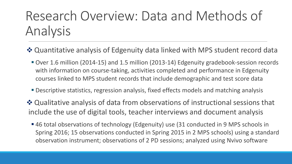### Research Overview: Data and Methods of Analysis

- ◆ Quantitative analysis of Edgenuity data linked with MPS student record data
	- Over 1.6 million (2014-15) and 1.5 million (2013-14) Edgenuity gradebook-session records with information on course-taking, activities completed and performance in Edgenuity courses linked to MPS student records that include demographic and test score data
	- **Descriptive statistics, regression analysis, fixed effects models and matching analysis**
- ◆ Qualitative analysis of data from observations of instructional sessions that include the use of digital tools, teacher interviews and document analysis
	- 46 total observations of technology (Edgenuity) use (31 conducted in 9 MPS schools in Spring 2016; 15 observations conducted in Spring 2015 in 2 MPS schools) using a standard observation instrument; observations of 2 PD sessions; analyzed using Nvivo software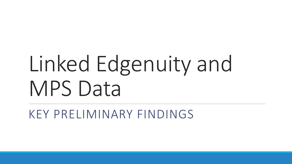# Linked Edgenuity and MPS Data

KEY PRELIMINARY FINDINGS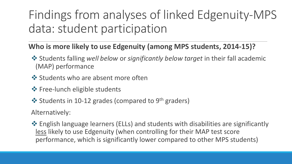#### Findings from analyses of linked Edgenuity-MPS data: student participation

#### **Who is more likely to use Edgenuity (among MPS students, 2014-15)?**

- Students falling *well below* or *significantly below target* in their fall academic (MAP) performance
- ❖ Students who are absent more often
- ❖ Free-lunch eligible students
- $\div$  Students in 10-12 grades (compared to 9<sup>th</sup> graders)

Alternatively:

 $\triangle$  English language learners (ELLs) and students with disabilities are significantly less likely to use Edgenuity (when controlling for their MAP test score performance, which is significantly lower compared to other MPS students)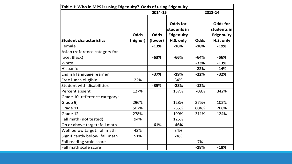| Table 1: Who in MPS is using Edgenuity? Odds of using Edgenuity |                         |                        |                                                          |             |                                                                 |  |  |
|-----------------------------------------------------------------|-------------------------|------------------------|----------------------------------------------------------|-------------|-----------------------------------------------------------------|--|--|
|                                                                 |                         | 2014-15                |                                                          |             | 2013-14                                                         |  |  |
| <b>Student characteristics</b>                                  | <b>Odds</b><br>(higher) | <b>Odds</b><br>(lower) | <b>Odds for</b><br>students in<br>Edgenuity<br>H.S. only | <b>Odds</b> | <b>Odds for</b><br>students in<br><b>Edgenuity</b><br>H.S. only |  |  |
| Female                                                          |                         | $-13%$                 | $-16%$                                                   | $-18%$      | $-19%$                                                          |  |  |
| Asian (reference category for                                   |                         |                        |                                                          |             |                                                                 |  |  |
| race: Black)                                                    |                         | $-63%$                 | $-66%$                                                   | $-64%$      | -56%                                                            |  |  |
| White                                                           |                         |                        |                                                          | $-33%$      | $-13%$                                                          |  |  |
| Hispanic                                                        |                         |                        |                                                          | $-22%$      | $-14%$                                                          |  |  |
| English language learner                                        |                         | $-37%$                 | $-19%$                                                   | $-22%$      | $-32%$                                                          |  |  |
| Free lunch eligible                                             | 22%                     |                        | 34%                                                      |             |                                                                 |  |  |
| <b>Student with disabilities</b>                                |                         | $-35%$                 | $-28%$                                                   | $-12%$      |                                                                 |  |  |
| Percent absent                                                  | 127%                    |                        | 137%                                                     | 708%        | 342%                                                            |  |  |
| Grade 10 (reference category:                                   |                         |                        |                                                          |             |                                                                 |  |  |
| Grade 9)                                                        | 296%                    |                        | 128%                                                     | 275%        | 102%                                                            |  |  |
| Grade 11                                                        | 507%                    |                        | 255%                                                     | 604%        | 268%                                                            |  |  |
| Grade 12                                                        | 278%                    |                        | 199%                                                     | 311%        | 124%                                                            |  |  |
| Fall math (not tested)                                          | 94%                     |                        | 125%                                                     |             |                                                                 |  |  |
| On or above target: fall math                                   |                         | $-61%$                 | $-46%$                                                   |             |                                                                 |  |  |
| Well below target: fall math                                    | 43%                     |                        | 34%                                                      |             |                                                                 |  |  |
| Significantly below: fall math                                  | 51%                     |                        | 24%                                                      |             |                                                                 |  |  |
| Fall reading scale score                                        |                         |                        |                                                          | 7%          |                                                                 |  |  |
| Fall math scale score                                           |                         |                        |                                                          | $-18%$      | $-18%$                                                          |  |  |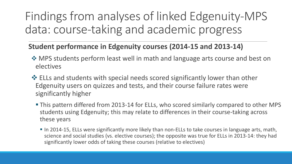#### Findings from analyses of linked Edgenuity-MPS data: course-taking and academic progress

#### **Student performance in Edgenuity courses (2014-15 and 2013-14)**

- $\triangle$  **MPS students perform least well in math and language arts course and best on** electives
- $\cdot$  ELLs and students with special needs scored significantly lower than other Edgenuity users on quizzes and tests, and their course failure rates were significantly higher
	- This pattern differed from 2013-14 for ELLs, who scored similarly compared to other MPS students using Edgenuity; this may relate to differences in their course-taking across these years
		- In 2014-15, ELLs were significantly more likely than non-ELLs to take courses in language arts, math, science and social studies (vs. elective courses); the opposite was true for ELLs in 2013-14: they had significantly lower odds of taking these courses (relative to electives)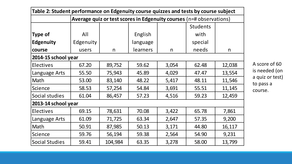| Table 2: Student performance on Edgenuity course quizzes and tests by course subject |                                                                     |         |                 |       |                 |        |  |  |
|--------------------------------------------------------------------------------------|---------------------------------------------------------------------|---------|-----------------|-------|-----------------|--------|--|--|
|                                                                                      | Average quiz or test scores in Edgenuity courses (n=# observations) |         |                 |       |                 |        |  |  |
|                                                                                      |                                                                     |         |                 |       | <b>Students</b> |        |  |  |
| <b>Type of</b>                                                                       | All                                                                 |         | English         |       | with            |        |  |  |
| <b>Edgenuity</b>                                                                     | Edgenuity                                                           |         | language        |       | special         |        |  |  |
| course                                                                               | users                                                               | n       | <i>learners</i> | n     | needs           | n      |  |  |
| 2014-15 school year                                                                  |                                                                     |         |                 |       |                 |        |  |  |
| <b>Electives</b>                                                                     | 67.20                                                               | 89,752  | 59.62           | 3,054 | 62.48           | 12,038 |  |  |
| Language Arts                                                                        | 55.50                                                               | 75,943  | 45.89           | 4,029 | 47.47           | 13,554 |  |  |
| Math                                                                                 | 53.00                                                               | 83,140  | 48.22           | 5,417 | 48.11           | 11,546 |  |  |
| Science                                                                              | 58.53                                                               | 57,254  | 54.84           | 3,691 | 55.51           | 11,145 |  |  |
| Social studies                                                                       | 61.04                                                               | 86,457  | 57.23           | 4,516 | 59.23           | 12,459 |  |  |
| 2013-14 school year                                                                  |                                                                     |         |                 |       |                 |        |  |  |
| <b>Electives</b>                                                                     | 69.15                                                               | 78,631  | 70.08           | 3,422 | 65.78           | 7,861  |  |  |
| Language Arts                                                                        | 61.09                                                               | 71,725  | 63.34           | 2,647 | 57.35           | 9,200  |  |  |
| Math                                                                                 | 50.91                                                               | 87,985  | 50.13           | 3,171 | 44.80           | 16,117 |  |  |
| Science                                                                              | 59.76                                                               | 56,194  | 59.38           | 2,564 | 54.90           | 9,231  |  |  |
| <b>Social Studies</b>                                                                | 59.41                                                               | 104,984 | 63.35           | 3,278 | 58.00           | 13,799 |  |  |

A score of 60 is needed (on a quiz or test) to pass a course.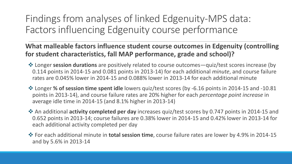Findings from analyses of linked Edgenuity-MPS data: Factors influencing Edgenuity course performance

**What malleable factors influence student course outcomes in Edgenuity (controlling for student characteristics, fall MAP performance, grade and school)?**

- Longer **session durations** are positively related to course outcomes—quiz/test scores increase (by 0.114 points in 2014-15 and 0.081 points in 2013-14) for each additional *minute*, and course failure rates are 0.045% lower in 2014-15 and 0.088% lower in 2013-14 for each additional minute
- Longer **% of session time spent idle** lowers quiz/test scores (by -6.16 points in 2014-15 and -10.81 points in 2013-14), and course failure rates are 20% higher for each *percentage point increase* in average idle time in 2014-15 (and 8.1% higher in 2013-14)
- An additional **activity completed per day** increases quiz/test scores by 0.747 points in 2014-15 and 0.652 points in 2013-14; course failures are 0.38% lower in 2014-15 and 0.42% lower in 2013-14 for each additional activity completed per day
- For each additional minute in **total session time**, course failure rates are lower by 4.9% in 2014-15 and by 5.6% in 2013-14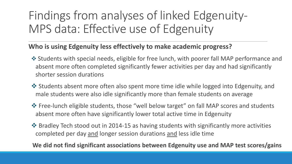#### Findings from analyses of linked Edgenuity-MPS data: Effective use of Edgenuity

#### **Who is using Edgenuity less effectively to make academic progress?**

- Students with special needs, eligible for free lunch, with poorer fall MAP performance and absent more often completed significantly fewer activities per day and had significantly shorter session durations
- Students absent more often also spent more time idle while logged into Edgenuity, and male students were also idle significantly more than female students on average
- $\triangle$  Free-lunch eligible students, those "well below target" on fall MAP scores and students absent more often have significantly lower total active time in Edgenuity
- Bradley Tech stood out in 2014-15 as having students with significantly more activities completed per day and longer session durations and less idle time

**We did not find significant associations between Edgenuity use and MAP test scores/gains**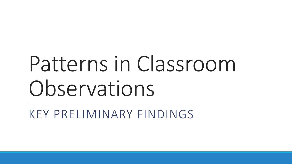# Patterns in Classroom Observations

KEY PRELIMINARY FINDINGS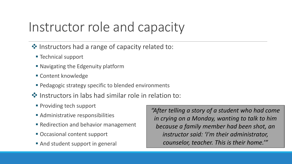#### Instructor role and capacity

- $\cdot$  Instructors had a range of capacity related to:
	- **Technical support**
	- Navigating the Edgenuity platform
	- **Content knowledge**
	- **Pedagogic strategy specific to blended environments**
- ❖ Instructors in labs had similar role in relation to:
	- **Providing tech support**
	- **Administrative responsibilities**
	- **Redirection and behavior management**
	- Occasional content support
	- **And student support in general**

*"After telling a story of a student who had come in crying on a Monday, wanting to talk to him because a family member had been shot, an instructor said: 'I'm their administrator, counselor, teacher. This is their home.'"*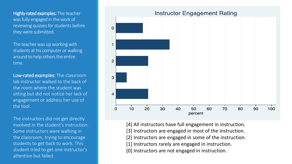Highly-rated examples: The teacher was fully engaged in the work of reviewing quizzes for students before they were submitted.

The teacher was up working with students at his computer or walking around to help others the entire time.

Low-rated examples: The classroom lab instructor walked to the back of the room where the student was sitting but did not notice her lack of engagement or address her use of the tool.

The instructors did not get directly involved in the student's instruction. Some instructors were walking in the classroom, trying to encourage students to get back to work. This student tried to get one instructor's attention but failed.



[4] All instructors have full engagement in instruction.

[3] Instructors are engaged in most of the instruction.

[2] Instructors are engaged in some of the instruction.

[1] Instructors rarely are engaged in instruction.

[0] Instructors are not engaged in instruction.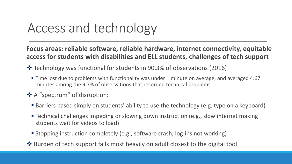### Access and technology

**Focus areas: reliable software, reliable hardware, internet connectivity, equitable access for students with disabilities and ELL students, challenges of tech support**

- Technology was functional for students in 90.3% of observations (2016)
	- Time lost due to problems with functionality was under 1 minute on average, and averaged 4.67 minutes among the 9.7% of observations that recorded technical problems
- A "spectrum" of disruption:
	- Barriers based simply on students' ability to use the technology (e.g. type on a keyboard)
	- Technical challenges impeding or slowing down instruction (e.g., slow internet making students wait for videos to load)
	- Stopping instruction completely (e.g., software crash; log-ins not working)
- $\triangle$  Burden of tech support falls most heavily on adult closest to the digital tool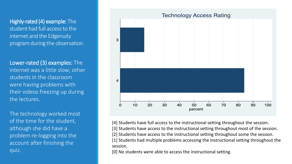Highly-rated (4) example: The student had full access to the internet and the Edgenuity program during the observation.

Lower-rated (3) examples: The internet was a little slow; other students in the classroom were having problems with their videos freezing up during the lectures.

The technology worked most of the time for the student, although she did have a problem re-logging into the account after finishing the quiz.



[4] Students have full access to the instructional setting throughout the session.

[3] Students have access to the instructional setting throughout most of the session.

[2] Students have access to the instructional setting throughout some the session.

[1] Students had multiple problems accessing the instructional setting throughout the session.

[0] No students were able to access the instructional setting.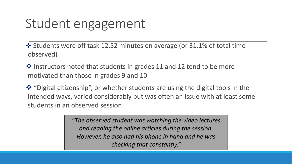#### Student engagement

 Students were off task 12.52 minutes on average (or 31.1% of total time observed)

 $\clubsuit$  Instructors noted that students in grades 11 and 12 tend to be more motivated than those in grades 9 and 10

**\*** "Digital citizenship", or whether students are using the digital tools in the intended ways, varied considerably but was often an issue with at least some students in an observed session

> *"The observed student was watching the video lectures and reading the online articles during the session. However, he also had his phone in hand and he was checking that constantly."*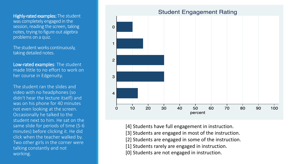Highly-rated examples: The student was completely engaged in the session, reading the screen, taking notes, trying to figure out algebra problems on a quiz.

The student works continuously, taking detailed notes.

Low-rated examples: The student made little to no effort to work on her course in Edgenuity.

The student ran the slides and video with no headphones (so didn't hear the lecture itself) and was on his phone for 40 minutes not even looking at the screen. Occasionally he talked to the student next to him. He sat on the same slide for periods of time (5-6 minutes) before clicking it. He did click when the teacher walked by. Two other girls in the corner were talking constantly and not working.



- [4] Students have full engagement in instruction.
- [3] Students are engaged in most of the instruction.
- [2] Students are engaged in some of the instruction.
- [1] Students rarely are engaged in instruction.
- [0] Students are not engaged in instruction.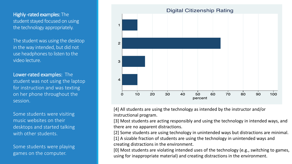Highly -rated examples: The student stayed focused on using the technology appropriately.

The student was using the desktop in the way intended, but did not use headphones to listen to the video lecture.

Lower-rated examples: The student was not using the laptop for instruction and was texting on her phone throughout the session.

Some students were visiting music websites on their desktops and started talking with other students.

Some students were playing games on the computer.



[4] All students are using the technology as intended by the instructor and/or instructional program.

[3] Most students are acting responsibly and using the technology in intended ways, and there are no apparent distractions.

[2] Some students are using technology in unintended ways but distractions are minimal.

[1] A sizable fraction of students are using the technology in unintended ways and creating distractions in the environment.

[0] Most students are violating intended uses of the technology (e.g., switching to games, using for inappropriate material) and creating distractions in the environment.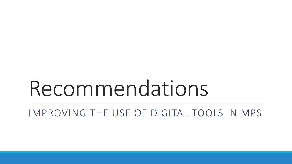## Recommendations

IMPROVING THE USE OF DIGITAL TOOLS IN MPS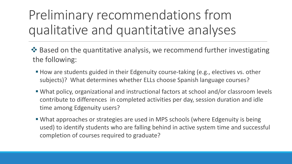### Preliminary recommendations from qualitative and quantitative analyses

- ◆ Based on the quantitative analysis, we recommend further investigating the following:
	- How are students guided in their Edgenuity course-taking (e.g., electives vs. other subjects)? What determines whether ELLs choose Spanish language courses?
	- What policy, organizational and instructional factors at school and/or classroom levels contribute to differences in completed activities per day, session duration and idle time among Edgenuity users?
	- What approaches or strategies are used in MPS schools (where Edgenuity is being used) to identify students who are falling behind in active system time and successful completion of courses required to graduate?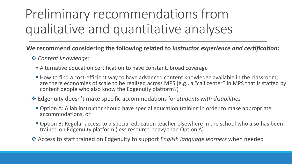### Preliminary recommendations from qualitative and quantitative analyses

#### **We recommend considering the following related to** *instructor experience and certification***:**

#### *Content knowledge*:

- Alternative education certification to have constant, broad coverage
- How to find a cost-efficient way to have advanced content knowledge available in the classroom; are there economies of scale to be realized across MPS (e.g., a "call center" in MPS that is staffed by content people who also know the Edgenuity platform?)
- Edgenuity doesn't make specific accommodations for *students with disabilities* 
	- Option A: A lab instructor should have special education training in order to make appropriate accommodations, or
	- **Option B: Regular access to a special education teacher elsewhere in the school who also has been** trained on Edgenuity platform (less resource-heavy than Option A)
- Access to staff trained on Edgenuity to support *English language learners* when needed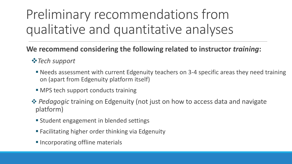### Preliminary recommendations from qualitative and quantitative analyses

#### **We recommend considering the following related to instructor** *training***:**

#### *Tech support*

- Needs assessment with current Edgenuity teachers on 3-4 specific areas they need training on (apart from Edgenuity platform itself)
- MPS tech support conducts training
- **<sup>◆</sup>** Pedagogic training on Edgenuity (not just on how to access data and navigate platform)
	- **Student engagement in blended settings**
	- **Facilitating higher order thinking via Edgenuity**
	- **Incorporating offline materials**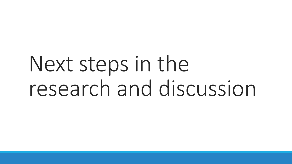## Next steps in the research and discussion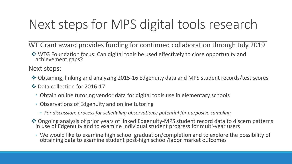### Next steps for MPS digital tools research

WT Grant award provides funding for continued collaboration through July 2019

 $\dots$  **WTG Foundation focus: Can digital tools be used effectively to close opportunity and** achievement gaps?

Next steps:

- Obtaining, linking and analyzing 2015-16 Edgenuity data and MPS student records/test scores
- **❖ Data collection for 2016-17** 
	- Obtain online tutoring vendor data for digital tools use in elementary schools
	- Observations of Edgenuity and online tutoring
		- *For discussion: process for scheduling observations; potential for purposive sampling*
- Ongoing analysis of prior years of linked Edgenuity-MPS student record data to discern patterns in use of Edgenuity and to examine individual student progress for multi-year users
	- We would like to examine high school graduation/completion and to explore the possibility of obtaining data to examine student post-high school/labor market outcomes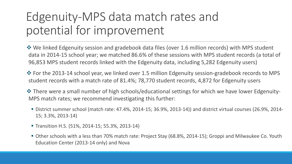#### Edgenuity-MPS data match rates and potential for improvement

 We linked Edgenuity session and gradebook data files (over 1.6 million records) with MPS student data in 2014-15 school year; we matched 86.6% of these sessions with MPS student records (a total of 96,853 MPS student records linked with the Edgenuity data, including 5,282 Edgenuity users)

 For the 2013-14 school year, we linked over 1.5 million Edgenuity session-gradebook records to MPS student records with a match rate of 81.4%; 78,770 student records, 4,872 for Edgenuity users

**\*** There were a small number of high schools/educational settings for which we have lower Edgenuity-MPS match rates; we recommend investigating this further:

- District summer school (match rate: 47.4%, 2014-15; 36.9%, 2013-14)) and district virtual courses (26.9%, 2014- 15; 3.3%, 2013-14)
- **Transition H.S. (51%, 2014-15; 55.3%, 2013-14)**
- Other schools with a less than 70% match rate: Project Stay (68.8%, 2014-15); Groppi and Milwaukee Co. Youth Education Center (2013-14 only) and Nova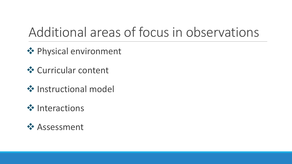### Additional areas of focus in observations

**❖ Physical environment** 

- **❖ Curricular content**
- **❖** Instructional model
- **❖** Interactions

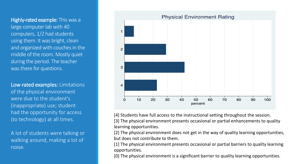Highly-rated example: This was a large computer lab with 40 computers, 1/2 had students using them. It was bright, clean and organized with couches in the middle of the room. Mostly quiet during the period. The teacher was there for questions.

Low-rated examples: Limitations of the physical environment were due to the student's (inappropriate) use; student had the opportunity for access (to technology) at all times.

A lot of students were talking or walking around, making a lot of noise.



[4] Students have full access to the instructional setting throughout the session. [3] The physical environment presents occasional or partial enhancements to quality learning opportunities.

[2] The physical environment does not get in the way of quality learning opportunities, but does not contribute to them.

[1] The physical environment presents occasional or partial barriers to quality learning opportunities.

[0] The physical environment is a significant barrier to quality learning opportunities.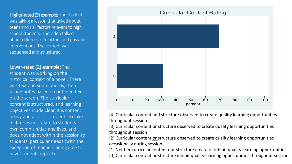Higher-rated (3) example: The student was taking a lesson that talked about teens and risk factors relevant to high school students. The video talked about different risk factors and possible interventions. The content was sequenced and structured.

Lower-rated (2) example: The student was working on the historical context of a novel. There was text and some photos, then taking notes based on outlined text on the screen. The curricular content is structured, and learning objectives made clear. It is content heavy and a lot for students to take in. It does not relate to students own communities and lives, and does not adapt within the session to students' particular needs (with the exception of teachers being able to have students repeat).



[4] Curricular content and structure observed to create quality learning opportunities throughout session.

[3] Curricular content or structure observed to create quality learning opportunities throughout session

[2] Curricular content or structure observed to create quality learning opportunities occasionally during session.

[1] Neither curricular content nor structure create or inhibit quality learning opportunities. [0] Curricular content or structure inhibit quality learning opportunities throughout session.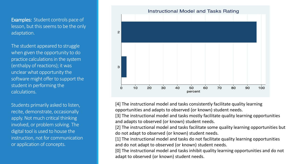**Examples: Student controls pace of** lesson, but this seems to be the only adaptation.

The student appeared to struggle when given the opportunity to do practice calculations in the system (enthalpy of reactions); it was unclear what opportunity the software might offer to support the student in performing the calculations.

Students primarily asked to listen, recite, demonstrate, occasionally apply. Not much critical thinking involved, or problem solving. The digital tool is used to house the instruction, not for communication or application of concepts.



[4] The instructional model and tasks consistently facilitate quality learning opportunities and adapts to observed (or known) student needs.

[3] The instructional model and tasks mostly facilitate quality learning opportunities and adapts to observed (or known) student needs.

[2] The instructional model and tasks facilitate some quality learning opportunities but do not adapt to observed (or known) student needs.

[1] The instructional model and tasks do not facilitate quality learning opportunities and do not adapt to observed (or known) student needs.

[0] The instructional model and tasks inhibit quality learning opportunities and do not adapt to observed (or known) student needs.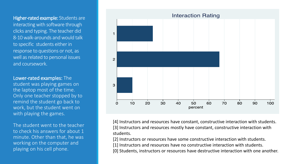Higher-rated example: Students are interacting with software through clicks and typing. The teacher did 8-10 walk-arounds and would talk to specific students either in response to questions or not, as well as related to personal issues and coursework.

Lower-rated examples: The student was playing games on the laptop most of the time. Only one teacher stopped by to remind the student go back to work, but the student went on with playing the games.

The student went to the teacher to check his answers for about 1 minute. Other than that, he was working on the computer and playing on his cell phone.



[4] Instructors and resources have constant, constructive interaction with students. [3] Instructors and resources mostly have constant, constructive interaction with students.

[2] Instructors or resources have some constructive interaction with students.

- [1] Instructors and resources have no constructive interaction with students.
- [0] Students, instructors or resources have destructive interaction with one another.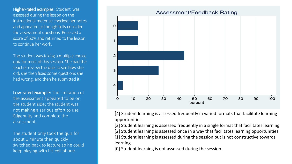Higher-rated examples: Student was assessed during the lesson on the instructional material; checked her notes and appeared to thoughtfully consider the assessment questions. Received a score of 60% and returned to the lesson to continue her work.

The student was taking a multiple choice quiz for most of this session. She had the teacher review the quiz to see how she did; she then fixed some questions she had wrong, and then he submitted it.

Low-rated example: The limitation of the assessment appeared to be on the student side; the student was not making a serious effort to use Edgenuity and complete the assessment.

The student only took the quiz for about 1 minute then quickly switched back to lecture so he could keep playing with his cell phone.



[4] Student learning is assessed frequently in varied formats that facilitate learning opportunities.

[3] Student learning is assessed frequently in a single format that facilitates learning.

[2] Student learning is assessed once in a way that facilitates learning opportunities

[1] Student learning is assessed during the session but is not constructive towards learning.

[0] Student learning is not assessed during the session.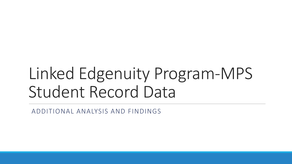## Linked Edgenuity Program-MPS Student Record Data

ADDITIONAL ANALYSIS AND FINDINGS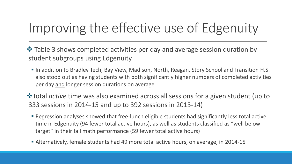### Improving the effective use of Edgenuity

 $\triangle$  Table 3 shows completed activities per day and average session duration by student subgroups using Edgenuity

- In addition to Bradley Tech, Bay View, Madison, North, Reagan, Story School and Transition H.S. also stood out as having students with both significantly higher numbers of completed activities per day and longer session durations on average
- $\triangle$ **Total** *active* time was also examined across all sessions for a given student (up to 333 sessions in 2014-15 and up to 392 sessions in 2013-14)
	- Regression analyses showed that free-lunch eligible students had significantly less total active time in Edgenuity (94 fewer total active hours), as well as students classified as "well below target" in their fall math performance (59 fewer total active hours)
	- Alternatively, female students had 49 more total active hours, on average, in 2014-15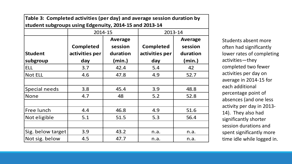| Table 3: Completed activities (per day) and average session duration by |                  |                |                  |                |  |  |
|-------------------------------------------------------------------------|------------------|----------------|------------------|----------------|--|--|
| student subgroups using Edgenuity, 2014-15 and 2013-14                  |                  |                |                  |                |  |  |
|                                                                         | 2014-15          |                | 2013-14          |                |  |  |
|                                                                         |                  | <b>Average</b> |                  | <b>Average</b> |  |  |
|                                                                         | <b>Completed</b> | session        | <b>Completed</b> | session        |  |  |
| <b>Student</b>                                                          | activities per   | duration       | activities per   | duration       |  |  |
| subgroup                                                                | day              | (min.)         | day              | (min.)         |  |  |
| <b>ELL</b>                                                              | 3.7              | 42.4           | 5.4              | 42             |  |  |
| <b>Not ELL</b>                                                          | 4.6              | 47.8           | 4.9              | 52.7           |  |  |
|                                                                         |                  |                |                  |                |  |  |
| Special needs                                                           | 3.8              | 45.4           | 3.9              | 48.8           |  |  |
| <b>None</b>                                                             | 4.7              | 48             | 5.2              | 52.8           |  |  |
|                                                                         |                  |                |                  |                |  |  |
| Free lunch                                                              | 4.4              | 46.8           | 4.9              | 51.6           |  |  |
| Not eligible                                                            | 5.1              | 51.5           | 5.3              | 56.4           |  |  |
|                                                                         |                  |                |                  |                |  |  |
| Sig. below target                                                       | 3.9              | 43.2           | n.a.             | n.a.           |  |  |
| Not sig. below                                                          | 4.5              | 47.7           | n.a.             | n.a.           |  |  |

Students absent more often had significantly lower rates of completing activities—they completed two fewer activities per day on average in 2014-15 for each additional percentage point of absences (and one less activity per day in 2013- 14). They also had significantly shorter session durations and spent significantly more time idle while logged in.